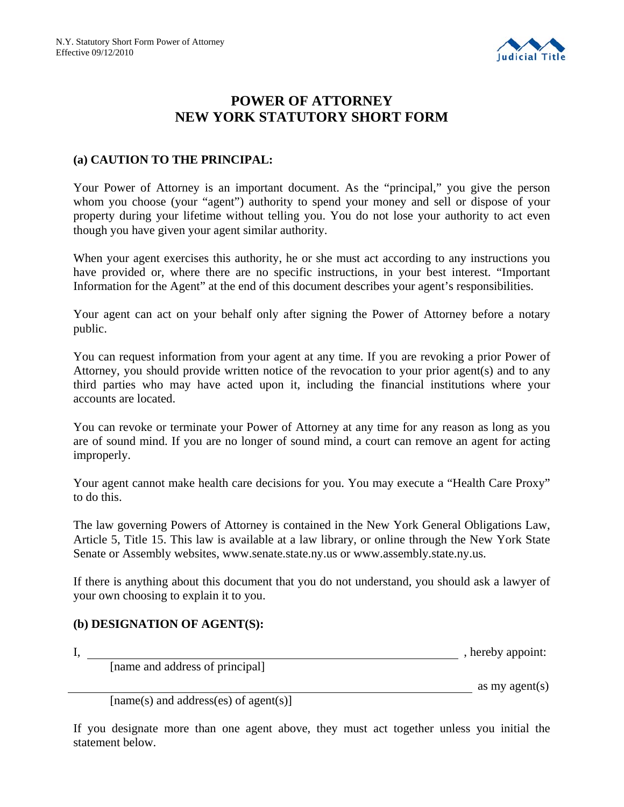

# **POWER OF ATTORNEY NEW YORK STATUTORY SHORT FORM**

## **(a) CAUTION TO THE PRINCIPAL:**

Your Power of Attorney is an important document. As the "principal," you give the person whom you choose (your "agent") authority to spend your money and sell or dispose of your property during your lifetime without telling you. You do not lose your authority to act even though you have given your agent similar authority.

When your agent exercises this authority, he or she must act according to any instructions you have provided or, where there are no specific instructions, in your best interest. "Important Information for the Agent" at the end of this document describes your agent's responsibilities.

Your agent can act on your behalf only after signing the Power of Attorney before a notary public.

You can request information from your agent at any time. If you are revoking a prior Power of Attorney, you should provide written notice of the revocation to your prior agent(s) and to any third parties who may have acted upon it, including the financial institutions where your accounts are located.

You can revoke or terminate your Power of Attorney at any time for any reason as long as you are of sound mind. If you are no longer of sound mind, a court can remove an agent for acting improperly.

Your agent cannot make health care decisions for you. You may execute a "Health Care Proxy" to do this.

The law governing Powers of Attorney is contained in the New York General Obligations Law, Article 5, Title 15. This law is available at a law library, or online through the New York State Senate or Assembly websites, www.senate.state.ny.us or www.assembly.state.ny.us.

If there is anything about this document that you do not understand, you should ask a lawyer of your own choosing to explain it to you.

### **(b) DESIGNATION OF AGENT(S):**

I, hereby appoint:

[name and address of principal]

as my agent(s)

[name(s) and address(es) of agent(s)]

If you designate more than one agent above, they must act together unless you initial the statement below.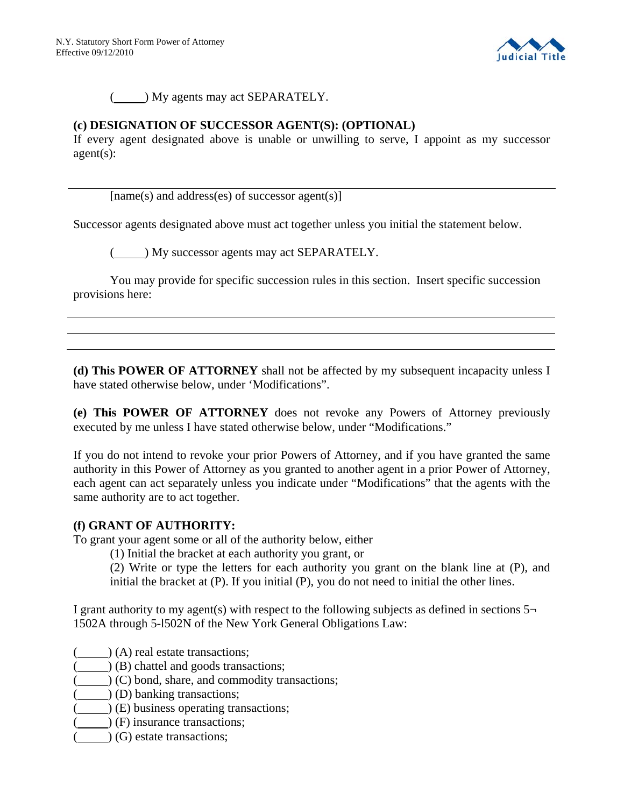

( ) My agents may act SEPARATELY.

## **(c) DESIGNATION OF SUCCESSOR AGENT(S): (OPTIONAL)**

If every agent designated above is unable or unwilling to serve, I appoint as my successor agent(s):

 $[name(s)$  and address(es) of successor agent(s)]

Successor agents designated above must act together unless you initial the statement below.

( ) My successor agents may act SEPARATELY.

 You may provide for specific succession rules in this section. Insert specific succession provisions here:

**(d) This POWER OF ATTORNEY** shall not be affected by my subsequent incapacity unless I have stated otherwise below, under 'Modifications".

**(e) This POWER OF ATTORNEY** does not revoke any Powers of Attorney previously executed by me unless I have stated otherwise below, under "Modifications."

If you do not intend to revoke your prior Powers of Attorney, and if you have granted the same authority in this Power of Attorney as you granted to another agent in a prior Power of Attorney, each agent can act separately unless you indicate under "Modifications" that the agents with the same authority are to act together.

### **(f) GRANT OF AUTHORITY:**

To grant your agent some or all of the authority below, either

(1) Initial the bracket at each authority you grant, or

(2) Write or type the letters for each authority you grant on the blank line at (P), and initial the bracket at (P). If you initial (P), you do not need to initial the other lines.

I grant authority to my agent(s) with respect to the following subjects as defined in sections  $5\neg$ 1502A through 5-l502N of the New York General Obligations Law:

- $($   $)$   $(A)$  real estate transactions;
- ( $\Box$ ) (B) chattel and goods transactions;
- $(C)$  bond, share, and commodity transactions;
- ( $\Box$ ) (D) banking transactions;
- ( $\qquad$ ) (E) business operating transactions;
- $($  (F) insurance transactions;
- $($   $)$   $(G)$  estate transactions;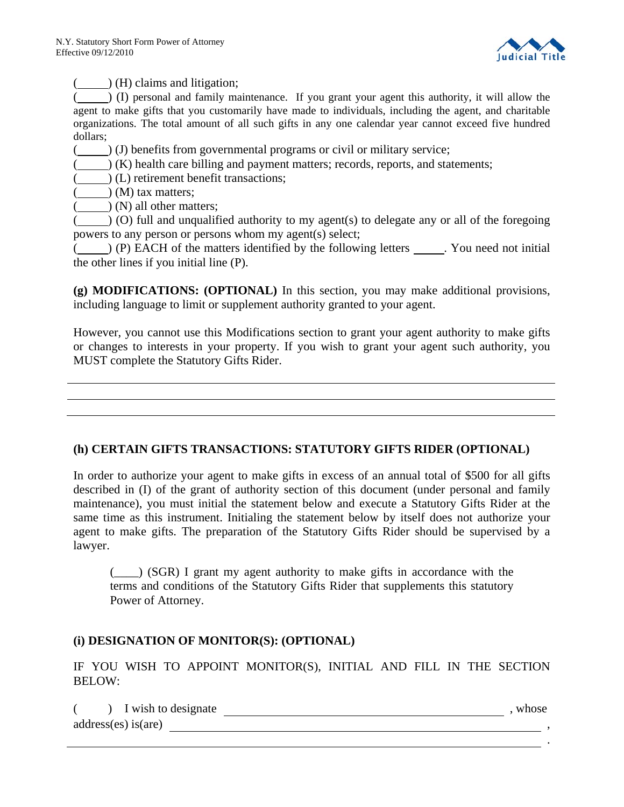

 $($  (H) claims and litigation;

( ) (I) personal and family maintenance. If you grant your agent this authority, it will allow the agent to make gifts that you customarily have made to individuals, including the agent, and charitable organizations. The total amount of all such gifts in any one calendar year cannot exceed five hundred dollars;

 $($   $)$  (J) benefits from governmental programs or civil or military service;

( ) (K) health care billing and payment matters; records, reports, and statements;

 $($ ( $)$  (L) retirement benefit transactions;

 $\left(\_\_\_\right)$  (M) tax matters;

 $\frac{1}{1}$  (N) all other matters:

 $($  (b) full and unqualified authority to my agent(s) to delegate any or all of the foregoing powers to any person or persons whom my agent(s) select;

( ) (P) EACH of the matters identified by the following letters . You need not initial the other lines if you initial line (P).

**(g) MODIFICATIONS: (OPTIONAL)** In this section, you may make additional provisions, including language to limit or supplement authority granted to your agent.

However, you cannot use this Modifications section to grant your agent authority to make gifts or changes to interests in your property. If you wish to grant your agent such authority, you MUST complete the Statutory Gifts Rider.

### **(h) CERTAIN GIFTS TRANSACTIONS: STATUTORY GIFTS RIDER (OPTIONAL)**

In order to authorize your agent to make gifts in excess of an annual total of \$500 for all gifts described in (I) of the grant of authority section of this document (under personal and family maintenance), you must initial the statement below and execute a Statutory Gifts Rider at the same time as this instrument. Initialing the statement below by itself does not authorize your agent to make gifts. The preparation of the Statutory Gifts Rider should be supervised by a lawyer.

 $($  (SGR) I grant my agent authority to make gifts in accordance with the terms and conditions of the Statutory Gifts Rider that supplements this statutory Power of Attorney.

### **(i) DESIGNATION OF MONITOR(S): (OPTIONAL)**

IF YOU WISH TO APPOINT MONITOR(S), INITIAL AND FILL IN THE SECTION BELOW:

| I wish to designate    | whose |
|------------------------|-------|
| $address(es)$ is (are) |       |

.<br>1960 - Paul Barbara, politikar eta biztanleria (h. 1900).<br>1960 - John Barbara, politikar eta biztanleria (h. 1900).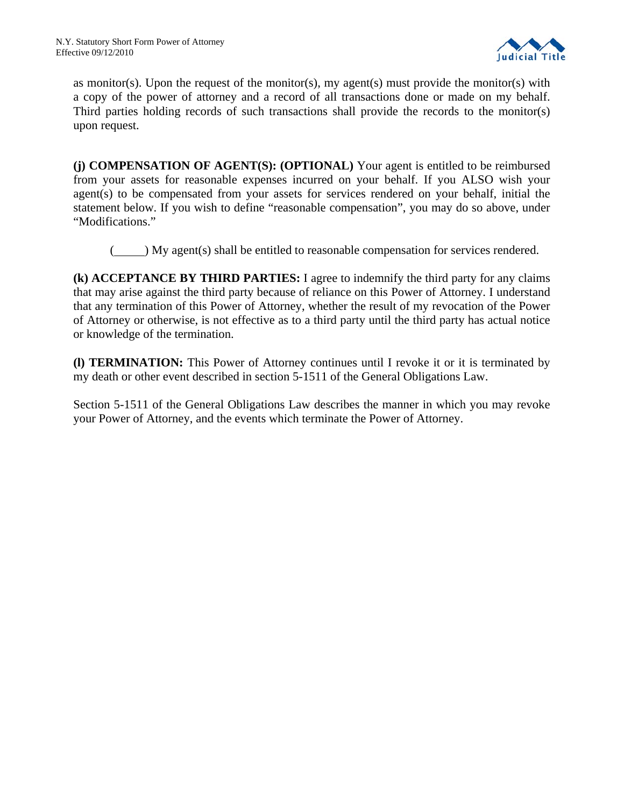

as monitor(s). Upon the request of the monitor(s), my agent(s) must provide the monitor(s) with a copy of the power of attorney and a record of all transactions done or made on my behalf. Third parties holding records of such transactions shall provide the records to the monitor(s) upon request.

**(j) COMPENSATION OF AGENT(S): (OPTIONAL)** Your agent is entitled to be reimbursed from your assets for reasonable expenses incurred on your behalf. If you ALSO wish your agent(s) to be compensated from your assets for services rendered on your behalf, initial the statement below. If you wish to define "reasonable compensation", you may do so above, under "Modifications."

( ) My agent(s) shall be entitled to reasonable compensation for services rendered.

**(k) ACCEPTANCE BY THIRD PARTIES:** I agree to indemnify the third party for any claims that may arise against the third party because of reliance on this Power of Attorney. I understand that any termination of this Power of Attorney, whether the result of my revocation of the Power of Attorney or otherwise, is not effective as to a third party until the third party has actual notice or knowledge of the termination.

**(l) TERMINATION:** This Power of Attorney continues until I revoke it or it is terminated by my death or other event described in section 5-1511 of the General Obligations Law.

Section 5-1511 of the General Obligations Law describes the manner in which you may revoke your Power of Attorney, and the events which terminate the Power of Attorney.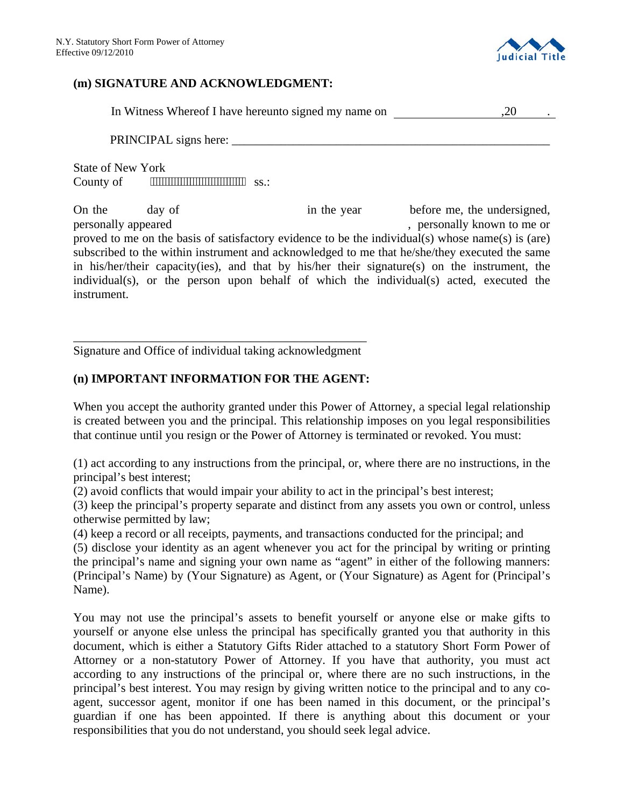

## **(m) SIGNATURE AND ACKNOWLEDGMENT:**

| In Witness Whereof I have hereunto signed my name on | .20 |  |
|------------------------------------------------------|-----|--|
| PRINCIPAL signs here:                                |     |  |

State of New York  $Countv$  of  $s.$ 

On the day of in the year before me, the undersigned, personally appeared , personally known to me or proved to me on the basis of satisfactory evidence to be the individual(s) whose name(s) is (are) subscribed to the within instrument and acknowledged to me that he/she/they executed the same in his/her/their capacity(ies), and that by his/her their signature(s) on the instrument, the individual(s), or the person upon behalf of which the individual(s) acted, executed the instrument.

\_\_\_\_\_\_\_\_\_\_\_\_\_\_\_\_\_\_\_\_\_\_\_\_\_\_\_\_\_\_\_\_\_\_\_\_\_\_\_\_\_\_\_\_\_\_\_\_ Signature and Office of individual taking acknowledgment

## **(n) IMPORTANT INFORMATION FOR THE AGENT:**

When you accept the authority granted under this Power of Attorney, a special legal relationship is created between you and the principal. This relationship imposes on you legal responsibilities that continue until you resign or the Power of Attorney is terminated or revoked. You must:

(1) act according to any instructions from the principal, or, where there are no instructions, in the principal's best interest;

(2) avoid conflicts that would impair your ability to act in the principal's best interest;

(3) keep the principal's property separate and distinct from any assets you own or control, unless otherwise permitted by law;

(4) keep a record or all receipts, payments, and transactions conducted for the principal; and

(5) disclose your identity as an agent whenever you act for the principal by writing or printing the principal's name and signing your own name as "agent" in either of the following manners: (Principal's Name) by (Your Signature) as Agent, or (Your Signature) as Agent for (Principal's Name).

You may not use the principal's assets to benefit yourself or anyone else or make gifts to yourself or anyone else unless the principal has specifically granted you that authority in this document, which is either a Statutory Gifts Rider attached to a statutory Short Form Power of Attorney or a non-statutory Power of Attorney. If you have that authority, you must act according to any instructions of the principal or, where there are no such instructions, in the principal's best interest. You may resign by giving written notice to the principal and to any coagent, successor agent, monitor if one has been named in this document, or the principal's guardian if one has been appointed. If there is anything about this document or your responsibilities that you do not understand, you should seek legal advice.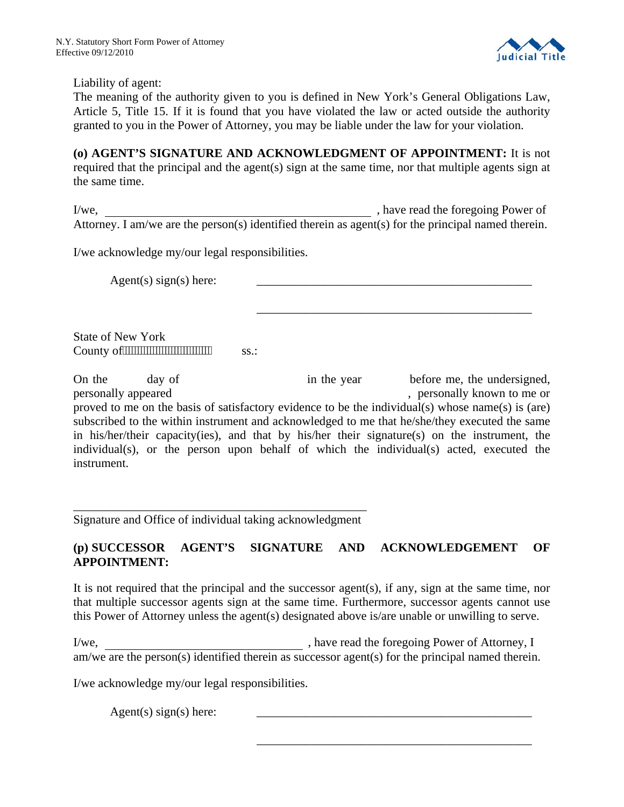

Liability of agent:

The meaning of the authority given to you is defined in New York's General Obligations Law, Article 5, Title 15. If it is found that you have violated the law or acted outside the authority granted to you in the Power of Attorney, you may be liable under the law for your violation.

**(o) AGENT'S SIGNATURE AND ACKNOWLEDGMENT OF APPOINTMENT:** It is not required that the principal and the agent(s) sign at the same time, nor that multiple agents sign at the same time.

I/we, have read the foregoing Power of Attorney. I am/we are the person(s) identified therein as agent(s) for the principal named therein.

\_\_\_\_\_\_\_\_\_\_\_\_\_\_\_\_\_\_\_\_\_\_\_\_\_\_\_\_\_\_\_\_\_\_\_\_\_\_\_\_\_\_\_\_\_

\_\_\_\_\_\_\_\_\_\_\_\_\_\_\_\_\_\_\_\_\_\_\_\_\_\_\_\_\_\_\_\_\_\_\_\_\_\_\_\_\_\_\_\_\_

I/we acknowledge my/our legal responsibilities.

Agent(s) sign(s) here:

State of New York County of  $\frac{1}{s}$  ss.:

On the day of in the year before me, the undersigned, personally appeared , personally known to me or proved to me on the basis of satisfactory evidence to be the individual(s) whose name(s) is (are) subscribed to the within instrument and acknowledged to me that he/she/they executed the same in his/her/their capacity(ies), and that by his/her their signature(s) on the instrument, the individual(s), or the person upon behalf of which the individual(s) acted, executed the instrument.

\_\_\_\_\_\_\_\_\_\_\_\_\_\_\_\_\_\_\_\_\_\_\_\_\_\_\_\_\_\_\_\_\_\_\_\_\_\_\_\_\_\_\_\_\_\_\_\_ Signature and Office of individual taking acknowledgment

# **(p) SUCCESSOR AGENT'S SIGNATURE AND ACKNOWLEDGEMENT OF APPOINTMENT:**

It is not required that the principal and the successor agent(s), if any, sign at the same time, nor that multiple successor agents sign at the same time. Furthermore, successor agents cannot use this Power of Attorney unless the agent(s) designated above is/are unable or unwilling to serve.

I/we, have read the foregoing Power of Attorney, I am/we are the person(s) identified therein as successor agent(s) for the principal named therein.

I/we acknowledge my/our legal responsibilities.

Agent(s) sign(s) here: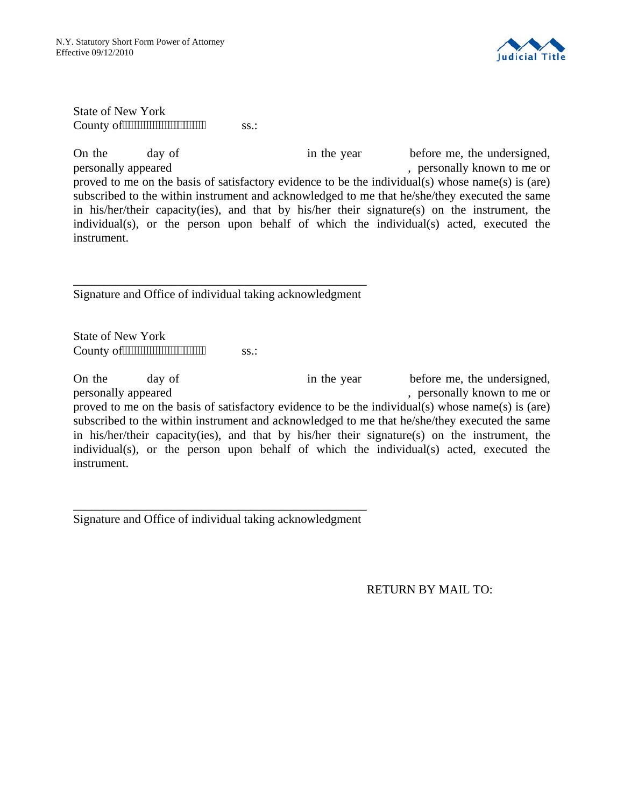

State of New York County of **COUNTY** of **SS.**:

On the day of in the year before me, the undersigned, personally appeared , personally known to me or proved to me on the basis of satisfactory evidence to be the individual(s) whose name(s) is (are) subscribed to the within instrument and acknowledged to me that he/she/they executed the same in his/her/their capacity(ies), and that by his/her their signature(s) on the instrument, the individual(s), or the person upon behalf of which the individual(s) acted, executed the instrument.

\_\_\_\_\_\_\_\_\_\_\_\_\_\_\_\_\_\_\_\_\_\_\_\_\_\_\_\_\_\_\_\_\_\_\_\_\_\_\_\_\_\_\_\_\_\_\_\_ Signature and Office of individual taking acknowledgment

State of New York County of  $\cdots$  ss.:

On the day of in the year before me, the undersigned, personally appeared **the contract of the contract of the contract of the contract of the contract of the contract of the contract of the contract of the contract of the contract of the contract of the contract of the contr** proved to me on the basis of satisfactory evidence to be the individual(s) whose name(s) is (are) subscribed to the within instrument and acknowledged to me that he/she/they executed the same in his/her/their capacity(ies), and that by his/her their signature(s) on the instrument, the individual(s), or the person upon behalf of which the individual(s) acted, executed the instrument.

\_\_\_\_\_\_\_\_\_\_\_\_\_\_\_\_\_\_\_\_\_\_\_\_\_\_\_\_\_\_\_\_\_\_\_\_\_\_\_\_\_\_\_\_\_\_\_\_ Signature and Office of individual taking acknowledgment

RETURN BY MAIL TO: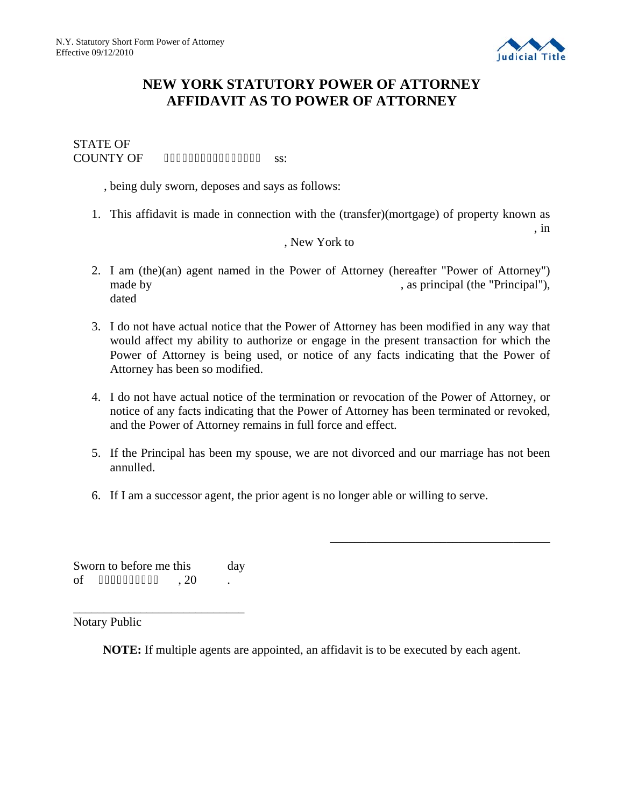

# **NEW YORK STATUTORY POWER OF ATTORNEY AFFIDAVIT AS TO POWER OF ATTORNEY**

STATE OF COUNTY OF """""""""""""""""" ss:

, being duly sworn, deposes and says as follows:

1. This affidavit is made in connection with the (transfer)(mortgage) of property known as

, in

### , New York to

- 2. I am (the)(an) agent named in the Power of Attorney (hereafter "Power of Attorney") made by , as principal (the "Principal"), dated
- 3. I do not have actual notice that the Power of Attorney has been modified in any way that would affect my ability to authorize or engage in the present transaction for which the Power of Attorney is being used, or notice of any facts indicating that the Power of Attorney has been so modified.
- 4. I do not have actual notice of the termination or revocation of the Power of Attorney, or notice of any facts indicating that the Power of Attorney has been terminated or revoked, and the Power of Attorney remains in full force and effect.
- 5. If the Principal has been my spouse, we are not divorced and our marriage has not been annulled.

\_\_\_\_\_\_\_\_\_\_\_\_\_\_\_\_\_\_\_\_\_\_\_\_\_\_\_\_\_\_\_\_\_\_\_\_

6. If I am a successor agent, the prior agent is no longer able or willing to serve.

Sworn to before me this day of """""""""",  $20$ 

\_\_\_\_\_\_\_\_\_\_\_\_\_\_\_\_\_\_\_\_\_\_\_\_\_\_\_\_

Notary Public

**NOTE:** If multiple agents are appointed, an affidavit is to be executed by each agent.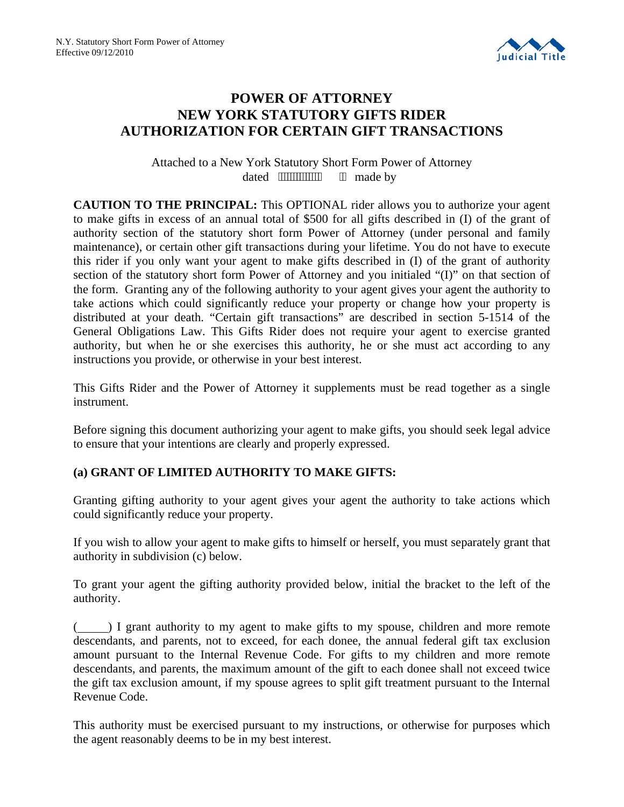

# **POWER OF ATTORNEY NEW YORK STATUTORY GIFTS RIDER AUTHORIZATION FOR CERTAIN GIFT TRANSACTIONS**

Attached to a New York Statutory Short Form Power of Attorney dated **""""""""""** made by

**CAUTION TO THE PRINCIPAL:** This OPTIONAL rider allows you to authorize your agent to make gifts in excess of an annual total of \$500 for all gifts described in (I) of the grant of authority section of the statutory short form Power of Attorney (under personal and family maintenance), or certain other gift transactions during your lifetime. You do not have to execute this rider if you only want your agent to make gifts described in (I) of the grant of authority section of the statutory short form Power of Attorney and you initialed "(I)" on that section of the form. Granting any of the following authority to your agent gives your agent the authority to take actions which could significantly reduce your property or change how your property is distributed at your death. "Certain gift transactions" are described in section 5-1514 of the General Obligations Law. This Gifts Rider does not require your agent to exercise granted authority, but when he or she exercises this authority, he or she must act according to any instructions you provide, or otherwise in your best interest.

This Gifts Rider and the Power of Attorney it supplements must be read together as a single instrument.

Before signing this document authorizing your agent to make gifts, you should seek legal advice to ensure that your intentions are clearly and properly expressed.

# **(a) GRANT OF LIMITED AUTHORITY TO MAKE GIFTS:**

Granting gifting authority to your agent gives your agent the authority to take actions which could significantly reduce your property.

If you wish to allow your agent to make gifts to himself or herself, you must separately grant that authority in subdivision (c) below.

To grant your agent the gifting authority provided below, initial the bracket to the left of the authority.

( ) I grant authority to my agent to make gifts to my spouse, children and more remote descendants, and parents, not to exceed, for each donee, the annual federal gift tax exclusion amount pursuant to the Internal Revenue Code. For gifts to my children and more remote descendants, and parents, the maximum amount of the gift to each donee shall not exceed twice the gift tax exclusion amount, if my spouse agrees to split gift treatment pursuant to the Internal Revenue Code.

This authority must be exercised pursuant to my instructions, or otherwise for purposes which the agent reasonably deems to be in my best interest.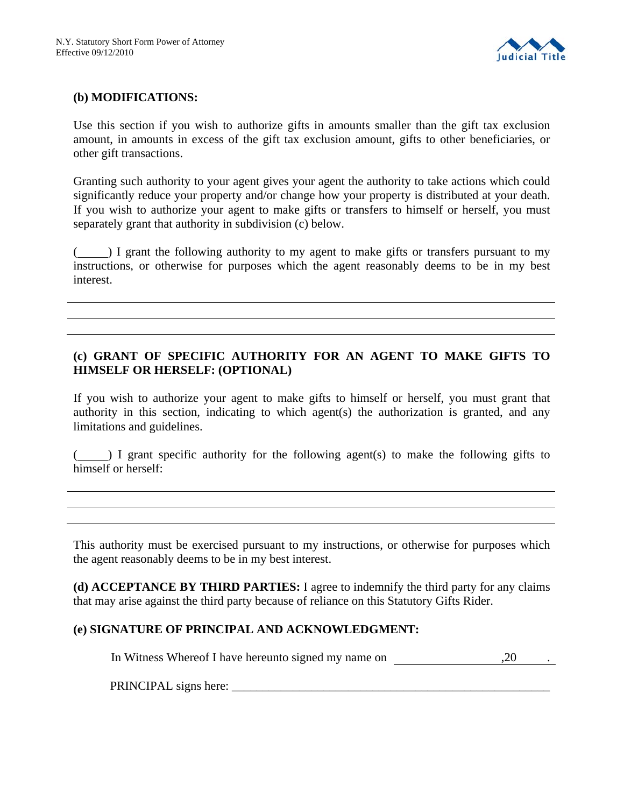

## **(b) MODIFICATIONS:**

Use this section if you wish to authorize gifts in amounts smaller than the gift tax exclusion amount, in amounts in excess of the gift tax exclusion amount, gifts to other beneficiaries, or other gift transactions.

Granting such authority to your agent gives your agent the authority to take actions which could significantly reduce your property and/or change how your property is distributed at your death. If you wish to authorize your agent to make gifts or transfers to himself or herself, you must separately grant that authority in subdivision (c) below.

( $\Box$ ) I grant the following authority to my agent to make gifts or transfers pursuant to my instructions, or otherwise for purposes which the agent reasonably deems to be in my best interest.

# **(c) GRANT OF SPECIFIC AUTHORITY FOR AN AGENT TO MAKE GIFTS TO HIMSELF OR HERSELF: (OPTIONAL)**

If you wish to authorize your agent to make gifts to himself or herself, you must grant that authority in this section, indicating to which agent(s) the authorization is granted, and any limitations and guidelines.

( ) I grant specific authority for the following agent(s) to make the following gifts to himself or herself:

This authority must be exercised pursuant to my instructions, or otherwise for purposes which the agent reasonably deems to be in my best interest.

**(d) ACCEPTANCE BY THIRD PARTIES:** I agree to indemnify the third party for any claims that may arise against the third party because of reliance on this Statutory Gifts Rider.

### **(e) SIGNATURE OF PRINCIPAL AND ACKNOWLEDGMENT:**

In Witness Whereof I have hereunto signed my name on  $\frac{1}{\sqrt{2}}$ , 20 .

PRINCIPAL signs here: